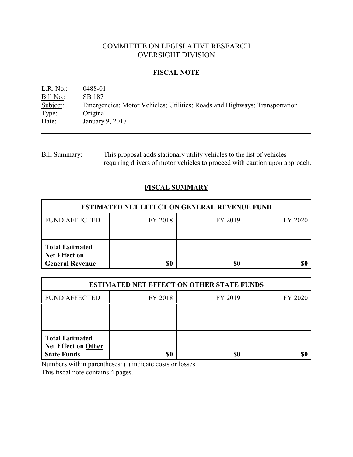# COMMITTEE ON LEGISLATIVE RESEARCH OVERSIGHT DIVISION

## **FISCAL NOTE**

L.R. No.: 0488-01 Bill No.: SB 187<br>Subject: Emerger Subject: Emergencies; Motor Vehicles; Utilities; Roads and Highways; Transportation Type: Original Original Date: January 9, 2017

Bill Summary: This proposal adds stationary utility vehicles to the list of vehicles requiring drivers of motor vehicles to proceed with caution upon approach.

# **FISCAL SUMMARY**

| <b>ESTIMATED NET EFFECT ON GENERAL REVENUE FUND</b>                      |         |         |         |  |
|--------------------------------------------------------------------------|---------|---------|---------|--|
| <b>FUND AFFECTED</b>                                                     | FY 2018 | FY 2019 | FY 2020 |  |
|                                                                          |         |         |         |  |
| <b>Total Estimated</b><br><b>Net Effect on</b><br><b>General Revenue</b> | \$0     | \$0     |         |  |

| <b>ESTIMATED NET EFFECT ON OTHER STATE FUNDS</b>                           |         |         |         |  |
|----------------------------------------------------------------------------|---------|---------|---------|--|
| <b>FUND AFFECTED</b>                                                       | FY 2018 | FY 2019 | FY 2020 |  |
|                                                                            |         |         |         |  |
|                                                                            |         |         |         |  |
| <b>Total Estimated</b><br><b>Net Effect on Other</b><br><b>State Funds</b> | \$0     | \$0     |         |  |

Numbers within parentheses: ( ) indicate costs or losses.

This fiscal note contains 4 pages.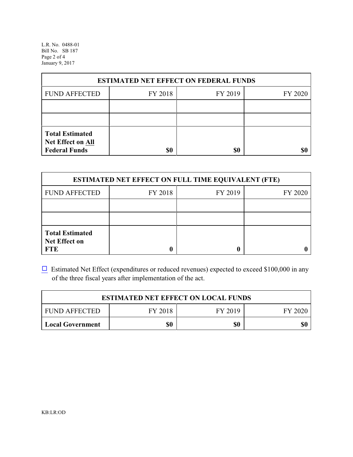L.R. No. 0488-01 Bill No. SB 187 Page 2 of 4 January 9, 2017

| <b>ESTIMATED NET EFFECT ON FEDERAL FUNDS</b>                        |         |         |         |  |
|---------------------------------------------------------------------|---------|---------|---------|--|
| <b>FUND AFFECTED</b>                                                | FY 2018 | FY 2019 | FY 2020 |  |
|                                                                     |         |         |         |  |
|                                                                     |         |         |         |  |
| <b>Total Estimated</b><br>Net Effect on All<br><b>Federal Funds</b> | \$0     | \$0     |         |  |

| <b>ESTIMATED NET EFFECT ON FULL TIME EQUIVALENT (FTE)</b>    |         |         |         |  |
|--------------------------------------------------------------|---------|---------|---------|--|
| <b>FUND AFFECTED</b>                                         | FY 2018 | FY 2019 | FY 2020 |  |
|                                                              |         |         |         |  |
|                                                              |         |         |         |  |
| <b>Total Estimated</b><br><b>Net Effect on</b><br><b>FTE</b> |         |         |         |  |

 $\Box$  Estimated Net Effect (expenditures or reduced revenues) expected to exceed \$100,000 in any of the three fiscal years after implementation of the act.

| <b>ESTIMATED NET EFFECT ON LOCAL FUNDS</b> |         |         |         |
|--------------------------------------------|---------|---------|---------|
| <b>FUND AFFECTED</b>                       | FY 2018 | FY 2019 | FY 2020 |
| <b>Local Government</b>                    | \$0     | \$0     | \$0     |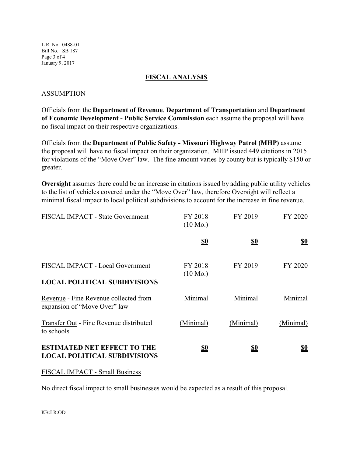L.R. No. 0488-01 Bill No. SB 187 Page 3 of 4 January 9, 2017

### **FISCAL ANALYSIS**

### ASSUMPTION

Officials from the **Department of Revenue**, **Department of Transportation** and **Department of Economic Development - Public Service Commission** each assume the proposal will have no fiscal impact on their respective organizations.

Officials from the **Department of Public Safety - Missouri Highway Patrol (MHP)** assume the proposal will have no fiscal impact on their organization. MHP issued 449 citations in 2015 for violations of the "Move Over" law. The fine amount varies by county but is typically \$150 or greater.

**Oversight** assumes there could be an increase in citations issued by adding public utility vehicles to the list of vehicles covered under the "Move Over" law, therefore Oversight will reflect a minimal fiscal impact to local political subdivisions to account for the increase in fine revenue.

| FISCAL IMPACT - State Government                                          | FY 2018<br>$(10 \text{ Mo.})$ | FY 2019    | FY 2020    |
|---------------------------------------------------------------------------|-------------------------------|------------|------------|
|                                                                           | <u>\$0</u>                    | <u>\$0</u> | <u>\$0</u> |
| FISCAL IMPACT - Local Government<br><b>LOCAL POLITICAL SUBDIVISIONS</b>   | FY 2018<br>$(10 \text{ Mo.})$ | FY 2019    | FY 2020    |
| Revenue - Fine Revenue collected from<br>expansion of "Move Over" law     | Minimal                       | Minimal    | Minimal    |
| Transfer Out - Fine Revenue distributed<br>to schools                     | (Minimal)                     | (Minimal)  | (Minimal)  |
| <b>ESTIMATED NET EFFECT TO THE</b><br><b>LOCAL POLITICAL SUBDIVISIONS</b> | <u>\$0</u>                    | <u>\$0</u> | <u>\$0</u> |

#### FISCAL IMPACT - Small Business

No direct fiscal impact to small businesses would be expected as a result of this proposal.